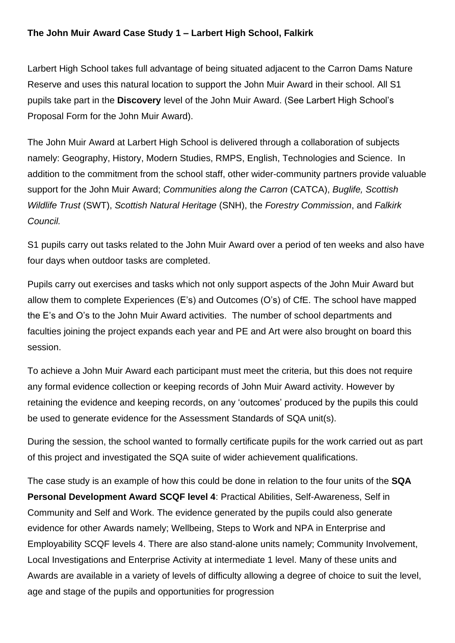## **The John Muir Award Case Study 1 – Larbert High School, Falkirk**

Larbert High School takes full advantage of being situated adjacent to the Carron Dams Nature Reserve and uses this natural location to support the John Muir Award in their school. All S1 pupils take part in the **Discovery** level of the John Muir Award. (See Larbert High School's Proposal Form for the John Muir Award).

The John Muir Award at Larbert High School is delivered through a collaboration of subjects namely: Geography, History, Modern Studies, RMPS, English, Technologies and Science. In addition to the commitment from the school staff, other wider-community partners provide valuable support for the John Muir Award; *Communities along the Carron* (CATCA), *Buglife, Scottish Wildlife Trust* (SWT), *Scottish Natural Heritage* (SNH), the *Forestry Commission*, and *Falkirk Council.*

S1 pupils carry out tasks related to the John Muir Award over a period of ten weeks and also have four days when outdoor tasks are completed.

Pupils carry out exercises and tasks which not only support aspects of the John Muir Award but allow them to complete Experiences (E's) and Outcomes (O's) of CfE. The school have mapped the E's and O's to the John Muir Award activities. The number of school departments and faculties joining the project expands each year and PE and Art were also brought on board this session.

To achieve a John Muir Award each participant must meet the criteria, but this does not require any formal evidence collection or keeping records of John Muir Award activity. However by retaining the evidence and keeping records, on any 'outcomes' produced by the pupils this could be used to generate evidence for the Assessment Standards of SQA unit(s).

During the session, the school wanted to formally certificate pupils for the work carried out as part of this project and investigated the SQA suite of wider achievement qualifications.

The case study is an example of how this could be done in relation to the four units of the **SQA Personal Development Award SCQF level 4**: Practical Abilities, Self-Awareness, Self in Community and Self and Work. The evidence generated by the pupils could also generate evidence for other Awards namely; Wellbeing, Steps to Work and NPA in Enterprise and Employability SCQF levels 4. There are also stand-alone units namely; Community Involvement, Local Investigations and Enterprise Activity at intermediate 1 level. Many of these units and Awards are available in a variety of levels of difficulty allowing a degree of choice to suit the level, age and stage of the pupils and opportunities for progression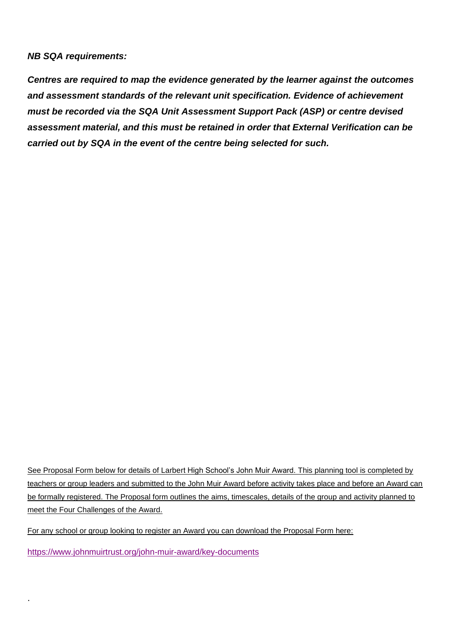### *NB SQA requirements:*

*Centres are required to map the evidence generated by the learner against the outcomes and assessment standards of the relevant unit specification. Evidence of achievement must be recorded via the SQA Unit Assessment Support Pack (ASP) or centre devised assessment material, and this must be retained in order that External Verification can be carried out by SQA in the event of the centre being selected for such.* 

See Proposal Form below for details of Larbert High School's John Muir Award. This planning tool is completed by teachers or group leaders and submitted to the John Muir Award before activity takes place and before an Award can be formally registered. The Proposal form outlines the aims, timescales, details of the group and activity planned to meet the Four Challenges of the Award.

For any school or group looking to register an Award you can download the Proposal Form here:

<https://www.johnmuirtrust.org/john-muir-award/key-documents>

.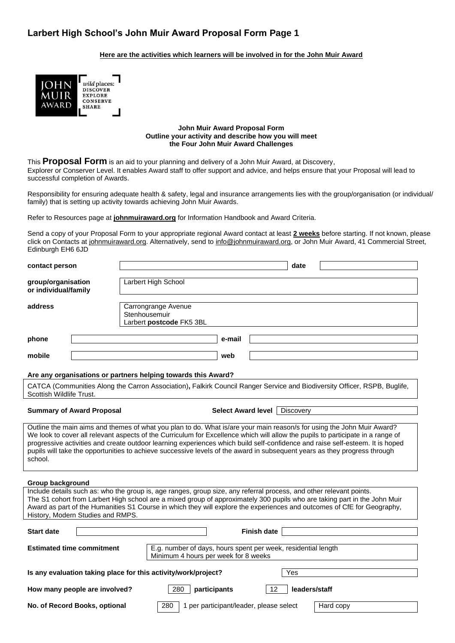## **Larbert High School's John Muir Award Proposal Form Page 1**

### **Here are the activities which learners will be involved in for the John Muir Award**



#### **John Muir Award Proposal Form Outline your activity and describe how you will meet the Four John Muir Award Challenges**

This **Proposal Form** is an aid to your planning and delivery of a John Muir Award, at Discovery, Explorer or Conserver Level. It enables Award staff to offer support and advice, and helps ensure that your Proposal will lead to successful completion of Awards.

Responsibility for ensuring adequate health & safety, legal and insurance arrangements lies with the group/organisation (or individual/ family) that is setting up activity towards achieving John Muir Awards.

Refer to Resources page at **[johnmuiraward.org](http://www.johnmuiraward.org/)** for Information Handbook and Award Criteria.

Send a copy of your Proposal Form to your appropriate regional Award contact at least **2 weeks** before starting. If not known, please click on Contacts a[t johnmuiraward.org.](mailto:johnmuiraward.org) Alternatively, send to [info@johnmuiraward.org,](mailto:info@johnmuiraward.org) or John Muir Award, 41 Commercial Street, Edinburgh EH6 6JD

| contact person                                                        | date                                                                                                                                                                                                                                                                                                                                                                                                                                                                                                                    |  |  |
|-----------------------------------------------------------------------|-------------------------------------------------------------------------------------------------------------------------------------------------------------------------------------------------------------------------------------------------------------------------------------------------------------------------------------------------------------------------------------------------------------------------------------------------------------------------------------------------------------------------|--|--|
| group/organisation<br>or individual/family                            | Larbert High School                                                                                                                                                                                                                                                                                                                                                                                                                                                                                                     |  |  |
| address                                                               | Carrongrange Avenue<br>Stenhousemuir<br>Larbert postcode FK5 3BL                                                                                                                                                                                                                                                                                                                                                                                                                                                        |  |  |
| phone                                                                 | e-mail                                                                                                                                                                                                                                                                                                                                                                                                                                                                                                                  |  |  |
| mobile                                                                | web                                                                                                                                                                                                                                                                                                                                                                                                                                                                                                                     |  |  |
|                                                                       | Are any organisations or partners helping towards this Award?                                                                                                                                                                                                                                                                                                                                                                                                                                                           |  |  |
| Scottish Wildlife Trust.                                              | CATCA (Communities Along the Carron Association), Falkirk Council Ranger Service and Biodiversity Officer, RSPB, Buglife,                                                                                                                                                                                                                                                                                                                                                                                               |  |  |
| <b>Summary of Award Proposal</b>                                      | Select Award level  <br>Discovery                                                                                                                                                                                                                                                                                                                                                                                                                                                                                       |  |  |
| school.                                                               | Outline the main aims and themes of what you plan to do. What is/are your main reason/s for using the John Muir Award?<br>We look to cover all relevant aspects of the Curriculum for Excellence which will allow the pupils to participate in a range of<br>progressive activities and create outdoor learning experiences which build self-confidence and raise self-esteem. It is hoped<br>pupils will take the opportunities to achieve successive levels of the award in subsequent years as they progress through |  |  |
| Group background<br>History, Modern Studies and RMPS.                 | Include details such as: who the group is, age ranges, group size, any referral process, and other relevant points.<br>The S1 cohort from Larbert High school are a mixed group of approximately 300 pupils who are taking part in the John Muir<br>Award as part of the Humanities S1 Course in which they will explore the experiences and outcomes of CfE for Geography,                                                                                                                                             |  |  |
| <b>Start date</b>                                                     | <b>Finish date</b>                                                                                                                                                                                                                                                                                                                                                                                                                                                                                                      |  |  |
| <b>Estimated time commitment</b>                                      | E.g. number of days, hours spent per week, residential length<br>Minimum 4 hours per week for 8 weeks                                                                                                                                                                                                                                                                                                                                                                                                                   |  |  |
| Is any evaluation taking place for this activity/work/project?<br>Yes |                                                                                                                                                                                                                                                                                                                                                                                                                                                                                                                         |  |  |
| How many people are involved?                                         | 12<br>280<br>participants<br>leaders/staff                                                                                                                                                                                                                                                                                                                                                                                                                                                                              |  |  |
| No. of Record Books, optional                                         | 280<br>1 per participant/leader, please select<br>Hard copy                                                                                                                                                                                                                                                                                                                                                                                                                                                             |  |  |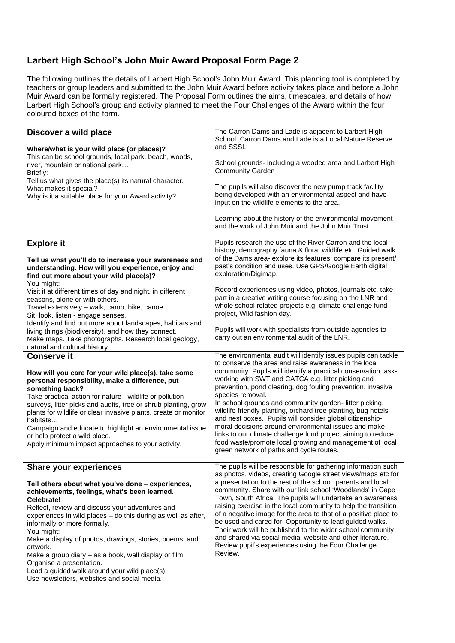## **Larbert High School's John Muir Award Proposal Form Page 2**

The following outlines the details of Larbert High School's John Muir Award. This planning tool is completed by teachers or group leaders and submitted to the John Muir Award before activity takes place and before a John Muir Award can be formally registered. The Proposal Form outlines the aims, timescales, and details of how Larbert High School's group and activity planned to meet the Four Challenges of the Award within the four coloured boxes of the form.

| Discover a wild place<br>Where/what is your wild place (or places)?<br>This can be school grounds, local park, beach, woods,<br>river, mountain or national park<br>Briefly:<br>Tell us what gives the place(s) its natural character.<br>What makes it special?<br>Why is it a suitable place for your Award activity?                                                                                                                                                                                                                       | The Carron Dams and Lade is adjacent to Larbert High<br>School. Carron Dams and Lade is a Local Nature Reserve<br>and SSSI.<br>School grounds- including a wooded area and Larbert High<br><b>Community Garden</b><br>The pupils will also discover the new pump track facility<br>being developed with an environmental aspect and have<br>input on the wildlife elements to the area.<br>Learning about the history of the environmental movement<br>and the work of John Muir and the John Muir Trust.                                                                                                                                                                                                                                                 |
|-----------------------------------------------------------------------------------------------------------------------------------------------------------------------------------------------------------------------------------------------------------------------------------------------------------------------------------------------------------------------------------------------------------------------------------------------------------------------------------------------------------------------------------------------|-----------------------------------------------------------------------------------------------------------------------------------------------------------------------------------------------------------------------------------------------------------------------------------------------------------------------------------------------------------------------------------------------------------------------------------------------------------------------------------------------------------------------------------------------------------------------------------------------------------------------------------------------------------------------------------------------------------------------------------------------------------|
| <b>Explore it</b><br>Tell us what you'll do to increase your awareness and<br>understanding. How will you experience, enjoy and<br>find out more about your wild place(s)?<br>You might:<br>Visit it at different times of day and night, in different                                                                                                                                                                                                                                                                                        | Pupils research the use of the River Carron and the local<br>history, demography fauna & flora, wildlife etc. Guided walk<br>of the Dams area-explore its features, compare its present/<br>past's condition and uses. Use GPS/Google Earth digital<br>exploration/Digimap.<br>Record experiences using video, photos, journals etc. take                                                                                                                                                                                                                                                                                                                                                                                                                 |
| seasons, alone or with others.<br>Travel extensively - walk, camp, bike, canoe.<br>Sit, look, listen - engage senses.<br>Identify and find out more about landscapes, habitats and                                                                                                                                                                                                                                                                                                                                                            | part in a creative writing course focusing on the LNR and<br>whole school related projects e.g. climate challenge fund<br>project, Wild fashion day.                                                                                                                                                                                                                                                                                                                                                                                                                                                                                                                                                                                                      |
| living things (biodiversity), and how they connect.<br>Make maps. Take photographs. Research local geology,<br>natural and cultural history.                                                                                                                                                                                                                                                                                                                                                                                                  | Pupils will work with specialists from outside agencies to<br>carry out an environmental audit of the LNR.                                                                                                                                                                                                                                                                                                                                                                                                                                                                                                                                                                                                                                                |
| <b>Conserve it</b><br>How will you care for your wild place(s), take some<br>personal responsibility, make a difference, put<br>something back?<br>Take practical action for nature - wildlife or pollution<br>surveys, litter picks and audits, tree or shrub planting, grow<br>plants for wildlife or clear invasive plants, create or monitor<br>habitats<br>Campaign and educate to highlight an environmental issue<br>or help protect a wild place.<br>Apply minimum impact approaches to your activity.                                | The environmental audit will identify issues pupils can tackle<br>to conserve the area and raise awareness in the local<br>community. Pupils will identify a practical conservation task-<br>working with SWT and CATCA e.g. litter picking and<br>prevention, pond clearing, dog fouling prevention, invasive<br>species removal.<br>In school grounds and community garden-litter picking,<br>wildlife friendly planting, orchard tree planting, bug hotels<br>and nest boxes. Pupils will consider global citizenship-<br>moral decisions around environmental issues and make<br>links to our climate challenge fund project aiming to reduce<br>food waste/promote local growing and management of local<br>green network of paths and cycle routes. |
| <b>Share your experiences</b>                                                                                                                                                                                                                                                                                                                                                                                                                                                                                                                 | The pupils will be responsible for gathering information such<br>as photos, videos, creating Google street views/maps etc for                                                                                                                                                                                                                                                                                                                                                                                                                                                                                                                                                                                                                             |
| Tell others about what you've done - experiences,<br>achievements, feelings, what's been learned.<br>Celebrate!<br>Reflect, review and discuss your adventures and<br>experiences in wild places - do this during as well as after,<br>informally or more formally.<br>You might:<br>Make a display of photos, drawings, stories, poems, and<br>artwork.<br>Make a group diary – as a book, wall display or film.<br>Organise a presentation.<br>Lead a guided walk around your wild place(s).<br>Use newsletters, websites and social media. | a presentation to the rest of the school, parents and local<br>community. Share with our link school 'Woodlands' in Cape<br>Town, South Africa. The pupils will undertake an awareness<br>raising exercise in the local community to help the transition<br>of a negative image for the area to that of a positive place to<br>be used and cared for. Opportunity to lead guided walks.<br>Their work will be published to the wider school community<br>and shared via social media, website and other literature.<br>Review pupil's experiences using the Four Challenge<br>Review.                                                                                                                                                                     |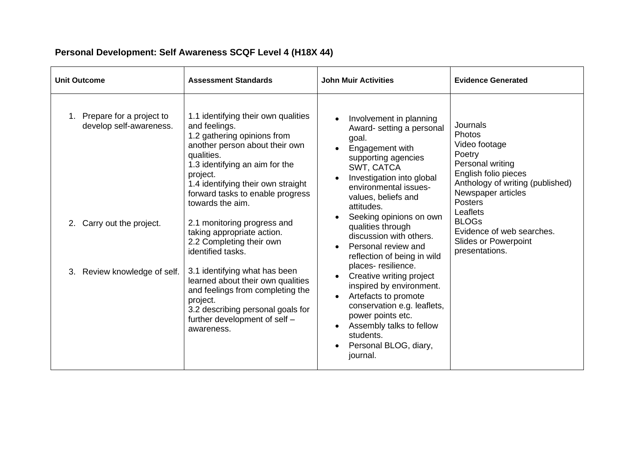# **Personal Development: Self Awareness SCQF Level 4 (H18X 44)**

| <b>Unit Outcome</b>                                       | <b>Assessment Standards</b>                                                                                                                                                                                                                                                     | <b>John Muir Activities</b>                                                                                                                                                                                                          | <b>Evidence Generated</b>                                                                                                                                                                |
|-----------------------------------------------------------|---------------------------------------------------------------------------------------------------------------------------------------------------------------------------------------------------------------------------------------------------------------------------------|--------------------------------------------------------------------------------------------------------------------------------------------------------------------------------------------------------------------------------------|------------------------------------------------------------------------------------------------------------------------------------------------------------------------------------------|
| Prepare for a project to<br>1.<br>develop self-awareness. | 1.1 identifying their own qualities<br>and feelings.<br>1.2 gathering opinions from<br>another person about their own<br>qualities.<br>1.3 identifying an aim for the<br>project.<br>1.4 identifying their own straight<br>forward tasks to enable progress<br>towards the aim. | Involvement in planning<br>Award- setting a personal<br>goal.<br>Engagement with<br>supporting agencies<br>SWT, CATCA<br>Investigation into global<br>environmental issues-<br>values, beliefs and<br>attitudes.                     | Journals<br><b>Photos</b><br>Video footage<br>Poetry<br>Personal writing<br>English folio pieces<br>Anthology of writing (published)<br>Newspaper articles<br><b>Posters</b><br>Leaflets |
| Carry out the project.                                    | 2.1 monitoring progress and<br>taking appropriate action.<br>2.2 Completing their own<br>identified tasks.                                                                                                                                                                      | Seeking opinions on own<br>qualities through<br>discussion with others.<br>Personal review and<br>reflection of being in wild                                                                                                        | <b>BLOGs</b><br>Evidence of web searches.<br><b>Slides or Powerpoint</b><br>presentations.                                                                                               |
| 3. Review knowledge of self.                              | 3.1 identifying what has been<br>learned about their own qualities<br>and feelings from completing the<br>project.<br>3.2 describing personal goals for<br>further development of self -<br>awareness.                                                                          | places-resilience.<br>Creative writing project<br>inspired by environment.<br>Artefacts to promote<br>conservation e.g. leaflets,<br>power points etc.<br>Assembly talks to fellow<br>students.<br>Personal BLOG, diary,<br>journal. |                                                                                                                                                                                          |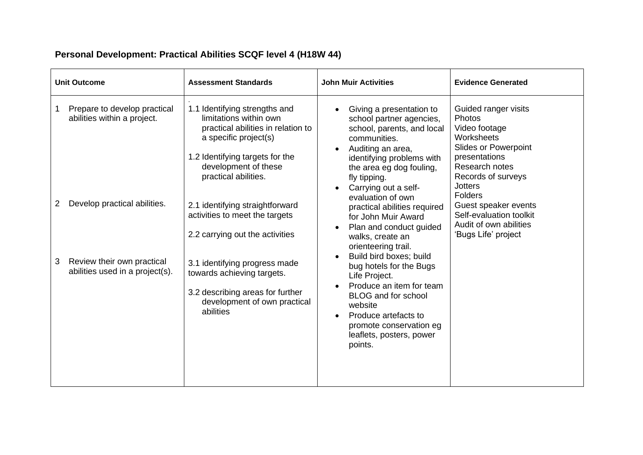# **Personal Development: Practical Abilities SCQF level 4 (H18W 44)**

| <b>Unit Outcome</b>                                                | <b>Assessment Standards</b>                                                                                                                                                                               | <b>John Muir Activities</b>                                                                                                                                                                                                                   | <b>Evidence Generated</b>                                                                                                                                                                 |
|--------------------------------------------------------------------|-----------------------------------------------------------------------------------------------------------------------------------------------------------------------------------------------------------|-----------------------------------------------------------------------------------------------------------------------------------------------------------------------------------------------------------------------------------------------|-------------------------------------------------------------------------------------------------------------------------------------------------------------------------------------------|
| Prepare to develop practical<br>abilities within a project.        | 1.1 Identifying strengths and<br>limitations within own<br>practical abilities in relation to<br>a specific project(s)<br>1.2 Identifying targets for the<br>development of these<br>practical abilities. | Giving a presentation to<br>school partner agencies,<br>school, parents, and local<br>communities.<br>Auditing an area,<br>identifying problems with<br>the area eg dog fouling,<br>fly tipping.<br>Carrying out a self-<br>evaluation of own | Guided ranger visits<br>Photos<br>Video footage<br>Worksheets<br><b>Slides or Powerpoint</b><br>presentations<br>Research notes<br>Records of surveys<br><b>Jotters</b><br><b>Folders</b> |
| Develop practical abilities.<br>2                                  | 2.1 identifying straightforward<br>activities to meet the targets<br>2.2 carrying out the activities                                                                                                      | practical abilities required<br>for John Muir Award<br>Plan and conduct guided<br>walks, create an<br>orienteering trail.                                                                                                                     | Guest speaker events<br>Self-evaluation toolkit<br>Audit of own abilities<br>'Bugs Life' project                                                                                          |
| Review their own practical<br>3<br>abilities used in a project(s). | 3.1 identifying progress made<br>towards achieving targets.<br>3.2 describing areas for further<br>development of own practical<br>abilities                                                              | Build bird boxes; build<br>bug hotels for the Bugs<br>Life Project.<br>Produce an item for team<br>BLOG and for school<br>website<br>Produce artefacts to<br>promote conservation eg<br>leaflets, posters, power<br>points.                   |                                                                                                                                                                                           |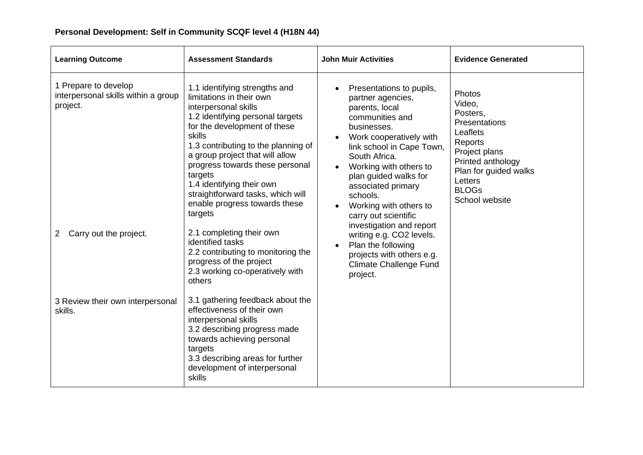| <b>Learning Outcome</b>                                                 | <b>Assessment Standards</b>                                                                                                                                                                                                                                                                                                                                                                           | <b>John Muir Activities</b>                                                                                                                                                                                                                                                                                                                                                                                                                                               | <b>Evidence Generated</b>                                                                                                                                                        |
|-------------------------------------------------------------------------|-------------------------------------------------------------------------------------------------------------------------------------------------------------------------------------------------------------------------------------------------------------------------------------------------------------------------------------------------------------------------------------------------------|---------------------------------------------------------------------------------------------------------------------------------------------------------------------------------------------------------------------------------------------------------------------------------------------------------------------------------------------------------------------------------------------------------------------------------------------------------------------------|----------------------------------------------------------------------------------------------------------------------------------------------------------------------------------|
| 1 Prepare to develop<br>interpersonal skills within a group<br>project. | 1.1 identifying strengths and<br>limitations in their own<br>interpersonal skills<br>1.2 identifying personal targets<br>for the development of these<br>skills<br>1.3 contributing to the planning of<br>a group project that will allow<br>progress towards these personal<br>targets<br>1.4 identifying their own<br>straightforward tasks, which will<br>enable progress towards these<br>targets | Presentations to pupils,<br>partner agencies,<br>parents, local<br>communities and<br>businesses.<br>Work cooperatively with<br>link school in Cape Town,<br>South Africa.<br>Working with others to<br>plan guided walks for<br>associated primary<br>schools.<br>Working with others to<br>carry out scientific<br>investigation and report<br>writing e.g. CO2 levels.<br>Plan the following<br>projects with others e.g.<br><b>Climate Challenge Fund</b><br>project. | Photos<br>Video,<br>Posters,<br>Presentations<br>Leaflets<br>Reports<br>Project plans<br>Printed anthology<br>Plan for guided walks<br>Letters<br><b>BLOGs</b><br>School website |
| Carry out the project.<br>$\overline{2}$                                | 2.1 completing their own<br>identified tasks<br>2.2 contributing to monitoring the<br>progress of the project<br>2.3 working co-operatively with<br>others                                                                                                                                                                                                                                            |                                                                                                                                                                                                                                                                                                                                                                                                                                                                           |                                                                                                                                                                                  |
| 3 Review their own interpersonal<br>skills.                             | 3.1 gathering feedback about the<br>effectiveness of their own<br>interpersonal skills<br>3.2 describing progress made<br>towards achieving personal<br>targets<br>3.3 describing areas for further<br>development of interpersonal<br><b>skills</b>                                                                                                                                                  |                                                                                                                                                                                                                                                                                                                                                                                                                                                                           |                                                                                                                                                                                  |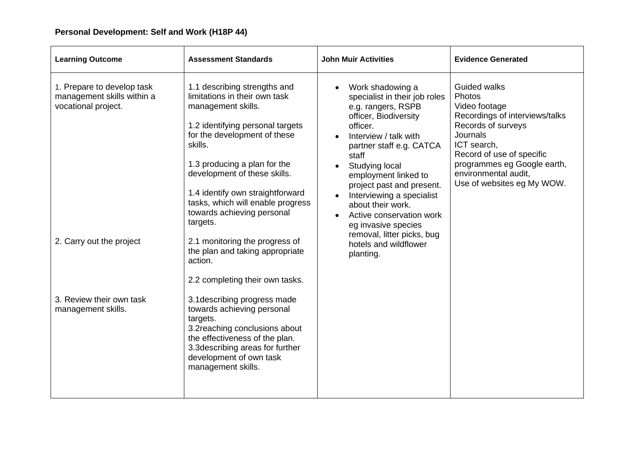| <b>Learning Outcome</b>                                                                                     | <b>Assessment Standards</b>                                                                                                                                                                                                                                                                                                                                                                                                                                              | <b>John Muir Activities</b>                                                                                                                                                                                                                                                                                                                                                                                                | <b>Evidence Generated</b>                                                                                                                                                                                                                           |
|-------------------------------------------------------------------------------------------------------------|--------------------------------------------------------------------------------------------------------------------------------------------------------------------------------------------------------------------------------------------------------------------------------------------------------------------------------------------------------------------------------------------------------------------------------------------------------------------------|----------------------------------------------------------------------------------------------------------------------------------------------------------------------------------------------------------------------------------------------------------------------------------------------------------------------------------------------------------------------------------------------------------------------------|-----------------------------------------------------------------------------------------------------------------------------------------------------------------------------------------------------------------------------------------------------|
| 1. Prepare to develop task<br>management skills within a<br>vocational project.<br>2. Carry out the project | 1.1 describing strengths and<br>limitations in their own task<br>management skills.<br>1.2 identifying personal targets<br>for the development of these<br>skills.<br>1.3 producing a plan for the<br>development of these skills.<br>1.4 identify own straightforward<br>tasks, which will enable progress<br>towards achieving personal<br>targets.<br>2.1 monitoring the progress of<br>the plan and taking appropriate<br>action.<br>2.2 completing their own tasks. | Work shadowing a<br>specialist in their job roles<br>e.g. rangers, RSPB<br>officer, Biodiversity<br>officer.<br>Interview / talk with<br>partner staff e.g. CATCA<br>staff<br>Studying local<br>employment linked to<br>project past and present.<br>Interviewing a specialist<br>about their work.<br>Active conservation work<br>eg invasive species<br>removal, litter picks, bug<br>hotels and wildflower<br>planting. | <b>Guided walks</b><br>Photos<br>Video footage<br>Recordings of interviews/talks<br>Records of surveys<br>Journals<br>ICT search,<br>Record of use of specific<br>programmes eg Google earth,<br>environmental audit.<br>Use of websites eg My WOW. |
| 3. Review their own task<br>management skills.                                                              | 3.1 describing progress made<br>towards achieving personal<br>targets.<br>3.2 reaching conclusions about<br>the effectiveness of the plan.<br>3.3 describing areas for further<br>development of own task<br>management skills.                                                                                                                                                                                                                                          |                                                                                                                                                                                                                                                                                                                                                                                                                            |                                                                                                                                                                                                                                                     |